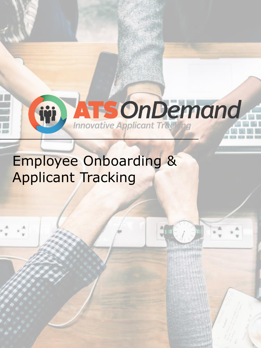

## Employee Onboarding & Applicant Tracking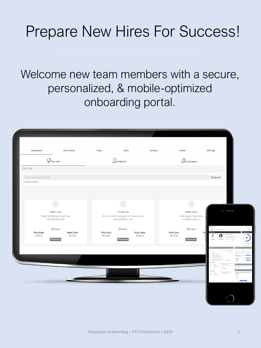# Prepare New Hires For Success!

Welcome new team members with a secure, personalized, & mobile-optimized onboarding portal.

| <b>Employees</b>                                      | <b>Documents</b>                                  | <b>Tasks</b>                  | Links                                                      | Surveys           | <b>Teams</b>           |                                                      | Settings         |                                |
|-------------------------------------------------------|---------------------------------------------------|-------------------------------|------------------------------------------------------------|-------------------|------------------------|------------------------------------------------------|------------------|--------------------------------|
| $\mathbb Q$ Pre Hire                                  |                                                   | $\Omega$ <sub>+</sub> Onboard |                                                            |                   | $\mathbb{R}$ Employees |                                                      |                  |                                |
| Pre Hire                                              |                                                   |                               |                                                            |                   |                        |                                                      |                  |                                |
| Enter your search term(s)<br><b>Ex: Name or Email</b> |                                                   |                               |                                                            |                   |                        |                                                      | Q Search         |                                |
|                                                       |                                                   |                               |                                                            |                   |                        |                                                      |                  |                                |
|                                                       |                                                   |                               |                                                            |                   |                        |                                                      |                  |                                |
|                                                       | $\mathcal{Q}$                                     |                               | $\mathbf{Q}$                                               |                   |                        | $\beta$                                              |                  |                                |
|                                                       | <b>Robert Lane</b>                                |                               | <b>Tommy Trio</b>                                          |                   |                        | <b>Trinity Sand</b>                                  |                  |                                |
|                                                       | Digital Marketing Coordinator<br>robert@email.com |                               | Sr. Consultant-Strategic Communications<br>tommy@email.com |                   |                        | <b>Sales Support Specialist</b><br>trinity@email.com |                  |                                |
| <b>Hire Date</b>                                      | <b><i>O</i></b> Active<br><b>Start Date</b>       | <b>Hire Date</b>              | <b><i>O</i></b> Active                                     | <b>Start Date</b> | <b>Hire Date</b>       | <b><i>O</i></b> Active<br>St                         | <b>Carsocome</b> |                                |
| 9/14/16                                               | 9/14/16<br>Not Started                            | 9/14/16                       | <b>Not Started</b>                                         | 9/14/16           | 9/14/16                | <b>Not Started</b>                                   | c                |                                |
|                                                       |                                                   |                               |                                                            |                   |                        |                                                      |                  |                                |
|                                                       |                                                   |                               |                                                            |                   |                        |                                                      |                  |                                |
|                                                       |                                                   |                               |                                                            |                   |                        |                                                      |                  |                                |
|                                                       |                                                   |                               |                                                            |                   |                        |                                                      |                  | tion da you like<br>interface? |
|                                                       |                                                   |                               |                                                            |                   |                        |                                                      |                  | <b>Sold</b> State              |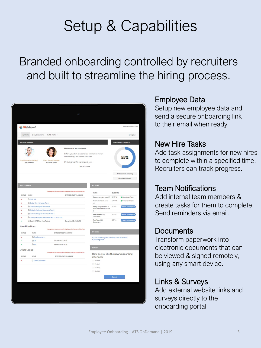# Setup & Capabilities

### Branded onboarding controlled by recruiters and built to streamline the hiring process.



#### Employee Data

Setup new employee data and send a secure onboarding link to their email when ready.

#### New Hire Tasks

Add task assignments for new hires to complete within a specified time. Recruiters can track progress.

#### Team Notifications

Add internal team members & create tasks for them to complete. Send reminders via email.

#### **Documents**

Transform paperwork into electronic documents that can be viewed & signed remotely, using any smart device.

#### Links & Surveys

Add external website links and surveys directly to the onboarding portal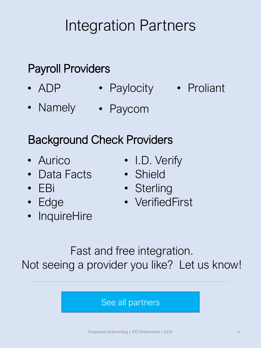# Integration Partners

### Payroll Providers

- ADP • Paylocity • Proliant
- Namely Paycom

### Background Check Providers

- Aurico
- Data Facts
- EBi
- Edge
- InquireHire
- I.D. Verify
- Shield
- Sterling
- VerifiedFirst

Fast and free integration. Not seeing a provider you like? Let us know!

#### [See all partners](https://power.atsondemand.com/partners/)